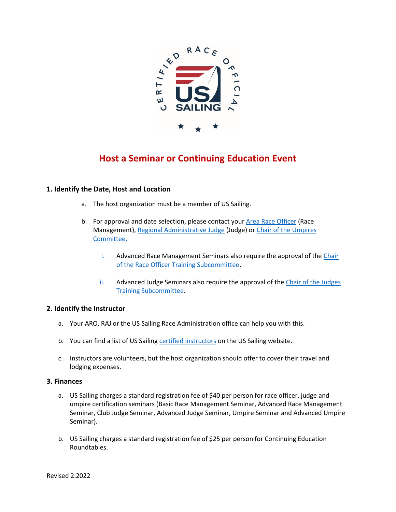

# **Host a Seminar or Continuing Education Event**

# **1. Identify the Date, Host and Location**

- a. The host organization must be a member of US Sailing.
- b. For approval and date selection, please contact you[r Area Race Officer](https://www.ussailing.org/race-officers/) (Race Management)[, Regional Administrative Judge](https://www.ussailing.org/competition/rules-officiating/judges/#judges-committee) (Judge) or [Chair of the Umpires](mailto:tdpyron@gmail.com) [Committee.](mailto:tdpyron@gmail.com)
	- i. Advanced Race Management Seminars also require the approval of the [Chair](mailto:sailing@sdyc.org) [of the Race Officer Training Subcommittee.](mailto:sailing@sdyc.org)
	- ii. Advanced Judge Seminars also require the approval of the [Chair of the Judges](mailto:bsimon@oakcliffsailing.org) [Training Subcommittee.](mailto:bsimon@oakcliffsailing.org)

# **2. Identify the Instructor**

- a. Your ARO, RAJ or the US Sailing Race Administration office can help you with this.
- b. You can find a list of US Sailing [certified instructors](https://www.ussailing.org/competition/rules-officiating/instructors/find-an-instructor/) on the US Sailing website.
- c. Instructors are volunteers, but the host organization should offer to cover their travel and lodging expenses.

#### **3. Finances**

- a. US Sailing charges a standard registration fee of \$40 per person for race officer, judge and umpire certification seminars (Basic Race Management Seminar, Advanced Race Management Seminar, Club Judge Seminar, Advanced Judge Seminar, Umpire Seminar and Advanced Umpire Seminar).
- b. US Sailing charges a standard registration fee of \$25 per person for Continuing Education Roundtables.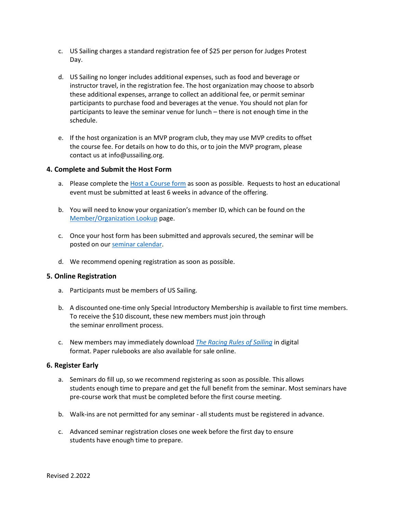- c. US Sailing charges a standard registration fee of \$25 per person for Judges Protest Day.
- d. US Sailing no longer includes additional expenses, such as food and beverage or instructor travel, in the registration fee. The host organization may choose to absorb these additional expenses, arrange to collect an additional fee, or permit seminar participants to purchase food and beverages at the venue. You should not plan for participants to leave the seminar venue for lunch – there is not enough time in the schedule.
- e. If the host organization is an MVP program club, they may use MVP credits to offset the course fee. For details on how to do this, or to join the MVP program, please contact us at info@ussailing.org.

#### **4. Complete and Submit the Host Form**

- a. Please complete the [Host a Course form](https://www.ussailing.org/competition/rules-officiating/resources/organize-a-seminar/host-race-official-seminar-continuing-ed-event/) as soon as possible. Requests to host an educational event must be submitted at least 6 weeks in advance of the offering.
- b. You will need to know your organization's member ID, which can be found on the [Member/Organization Lookup](https://www1.ussailing.org/membership/memberlookupflname.aspx) page.
- c. Once your host form has been submitted and approvals secured, the seminar will be posted on our [seminar calendar.](https://www.ussailing.org/competition/rules-officiating/resources/find-a-seminar/race-officer-seminar-calendar/)
- d. We recommend opening registration as soon as possible.

#### **5. Online Registration**

- a. Participants must be members of US Sailing.
- b. A discounted one-time only Special Introductory Membership is available to first time members. To receive the \$10 discount, these new members must join through the seminar enrollment process.
- c. New members may immediately download *[The Racing Rules of Sailing](https://www.ussailing.org/competition/rules-officiating/the-racing-rules-of-sailing-2021-2024/)* in digital format. Paper rulebooks are also available for sale online.

#### **6. Register Early**

- a. Seminars do fill up, so we recommend registering as soon as possible. This allows students enough time to prepare and get the full benefit from the seminar. Most seminars have pre-course work that must be completed before the first course meeting.
- b. Walk-ins are not permitted for any seminar all students must be registered in advance.
- c. Advanced seminar registration closes one week before the first day to ensure students have enough time to prepare.